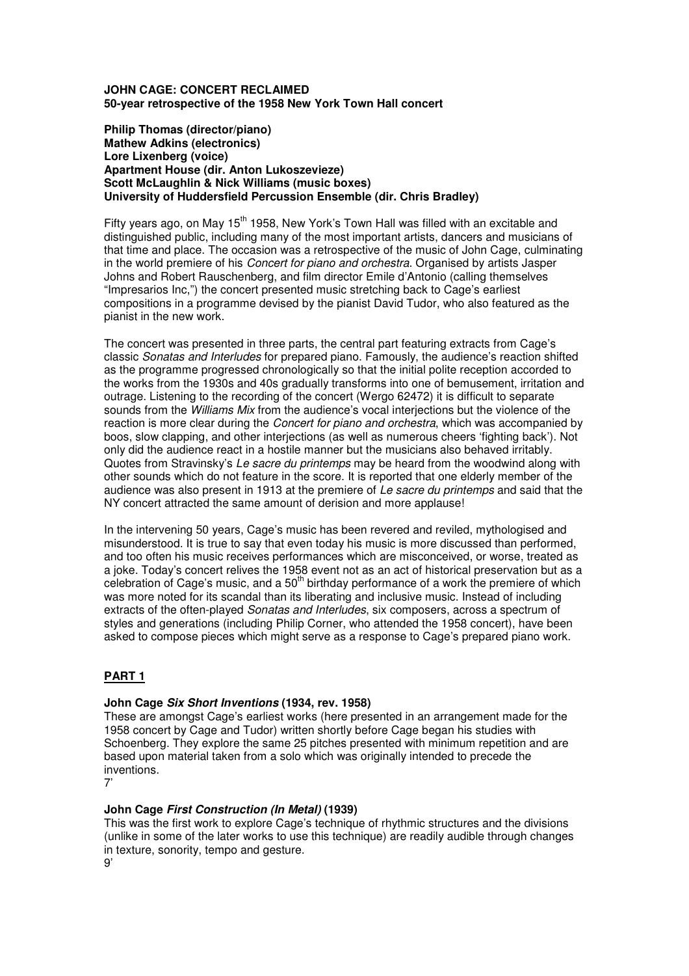### **JOHN CAGE: CONCERT RECLAIMED 50-year retrospective of the 1958 New York Town Hall concert**

**Philip Thomas (director/piano) Mathew Adkins (electronics) Lore Lixenberg (voice) Apartment House (dir. Anton Lukoszevieze) Scott McLaughlin & Nick Williams (music boxes) University of Huddersfield Percussion Ensemble (dir. Chris Bradley)** 

Fifty years ago, on May  $15<sup>th</sup>$  1958, New York's Town Hall was filled with an excitable and distinguished public, including many of the most important artists, dancers and musicians of that time and place. The occasion was a retrospective of the music of John Cage, culminating in the world premiere of his *Concert for piano and orchestra*. Organised by artists Jasper Johns and Robert Rauschenberg, and film director Emile d'Antonio (calling themselves "Impresarios Inc,") the concert presented music stretching back to Cage's earliest compositions in a programme devised by the pianist David Tudor, who also featured as the pianist in the new work.

The concert was presented in three parts, the central part featuring extracts from Cage's classic Sonatas and Interludes for prepared piano. Famously, the audience's reaction shifted as the programme progressed chronologically so that the initial polite reception accorded to the works from the 1930s and 40s gradually transforms into one of bemusement, irritation and outrage. Listening to the recording of the concert (Wergo 62472) it is difficult to separate sounds from the *Williams Mix* from the audience's vocal interjections but the violence of the reaction is more clear during the *Concert for piano and orchestra*, which was accompanied by boos, slow clapping, and other interjections (as well as numerous cheers 'fighting back'). Not only did the audience react in a hostile manner but the musicians also behaved irritably. Quotes from Stravinsky's Le sacre du printemps may be heard from the woodwind along with other sounds which do not feature in the score. It is reported that one elderly member of the audience was also present in 1913 at the premiere of Le sacre du printemps and said that the NY concert attracted the same amount of derision and more applause!

In the intervening 50 years, Cage's music has been revered and reviled, mythologised and misunderstood. It is true to say that even today his music is more discussed than performed, and too often his music receives performances which are misconceived, or worse, treated as a joke. Today's concert relives the 1958 event not as an act of historical preservation but as a celebration of Cage's music, and a  $50<sup>th</sup>$  birthday performance of a work the premiere of which was more noted for its scandal than its liberating and inclusive music. Instead of including extracts of the often-played Sonatas and Interludes, six composers, across a spectrum of styles and generations (including Philip Corner, who attended the 1958 concert), have been asked to compose pieces which might serve as a response to Cage's prepared piano work.

# **PART 1**

## **John Cage Six Short Inventions (1934, rev. 1958)**

These are amongst Cage's earliest works (here presented in an arrangement made for the 1958 concert by Cage and Tudor) written shortly before Cage began his studies with Schoenberg. They explore the same 25 pitches presented with minimum repetition and are based upon material taken from a solo which was originally intended to precede the inventions.

7'

## **John Cage First Construction (In Metal) (1939)**

This was the first work to explore Cage's technique of rhythmic structures and the divisions (unlike in some of the later works to use this technique) are readily audible through changes in texture, sonority, tempo and gesture.

9'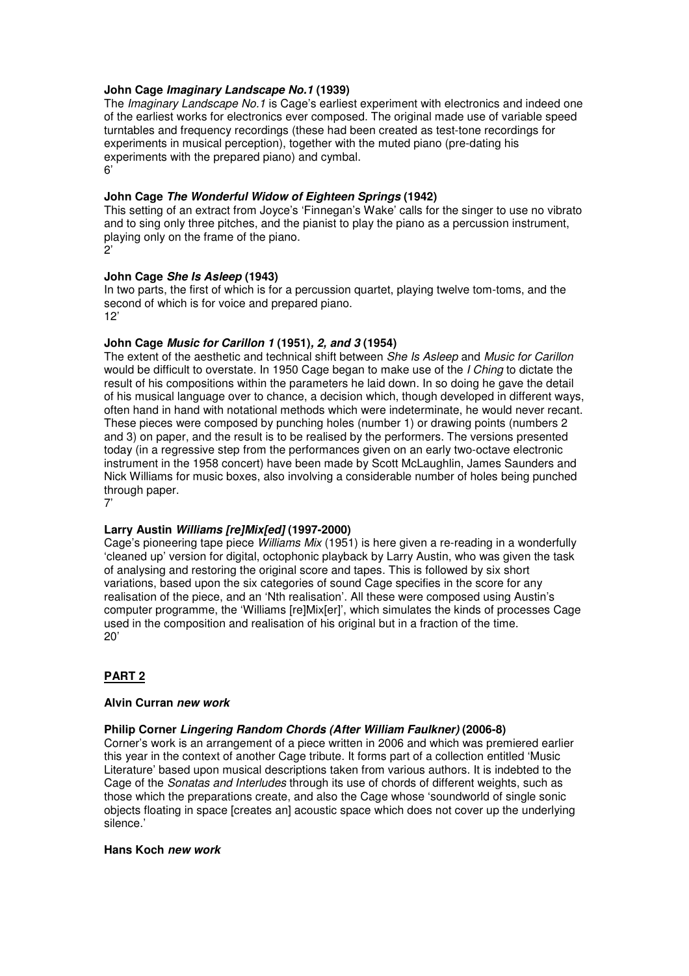### **John Cage Imaginary Landscape No.1 (1939)**

The Imaginary Landscape No.1 is Cage's earliest experiment with electronics and indeed one of the earliest works for electronics ever composed. The original made use of variable speed turntables and frequency recordings (these had been created as test-tone recordings for experiments in musical perception), together with the muted piano (pre-dating his experiments with the prepared piano) and cymbal.  $6'$ 

#### **John Cage The Wonderful Widow of Eighteen Springs (1942)**

This setting of an extract from Joyce's 'Finnegan's Wake' calls for the singer to use no vibrato and to sing only three pitches, and the pianist to play the piano as a percussion instrument, playing only on the frame of the piano.  $\overline{2}$ 

#### **John Cage She Is Asleep (1943)**

In two parts, the first of which is for a percussion quartet, playing twelve tom-toms, and the second of which is for voice and prepared piano.  $12'$ 

### **John Cage Music for Carillon 1 (1951), 2, and 3 (1954)**

The extent of the aesthetic and technical shift between She Is Asleep and Music for Carillon would be difficult to overstate. In 1950 Cage began to make use of the *I Ching* to dictate the result of his compositions within the parameters he laid down. In so doing he gave the detail of his musical language over to chance, a decision which, though developed in different ways, often hand in hand with notational methods which were indeterminate, he would never recant. These pieces were composed by punching holes (number 1) or drawing points (numbers 2 and 3) on paper, and the result is to be realised by the performers. The versions presented today (in a regressive step from the performances given on an early two-octave electronic instrument in the 1958 concert) have been made by Scott McLaughlin, James Saunders and Nick Williams for music boxes, also involving a considerable number of holes being punched through paper.

7'

#### **Larry Austin Williams [re]Mix[ed] (1997-2000)**

Cage's pioneering tape piece *Williams Mix* (1951) is here given a re-reading in a wonderfully 'cleaned up' version for digital, octophonic playback by Larry Austin, who was given the task of analysing and restoring the original score and tapes. This is followed by six short variations, based upon the six categories of sound Cage specifies in the score for any realisation of the piece, and an 'Nth realisation'. All these were composed using Austin's computer programme, the 'Williams [re]Mix[er]', which simulates the kinds of processes Cage used in the composition and realisation of his original but in a fraction of the time.  $20'$ 

#### **PART 2**

#### **Alvin Curran new work**

#### **Philip Corner Lingering Random Chords (After William Faulkner) (2006-8)**

Corner's work is an arrangement of a piece written in 2006 and which was premiered earlier this year in the context of another Cage tribute. It forms part of a collection entitled 'Music Literature' based upon musical descriptions taken from various authors. It is indebted to the Cage of the Sonatas and Interludes through its use of chords of different weights, such as those which the preparations create, and also the Cage whose 'soundworld of single sonic objects floating in space [creates an] acoustic space which does not cover up the underlying silence.'

#### **Hans Koch new work**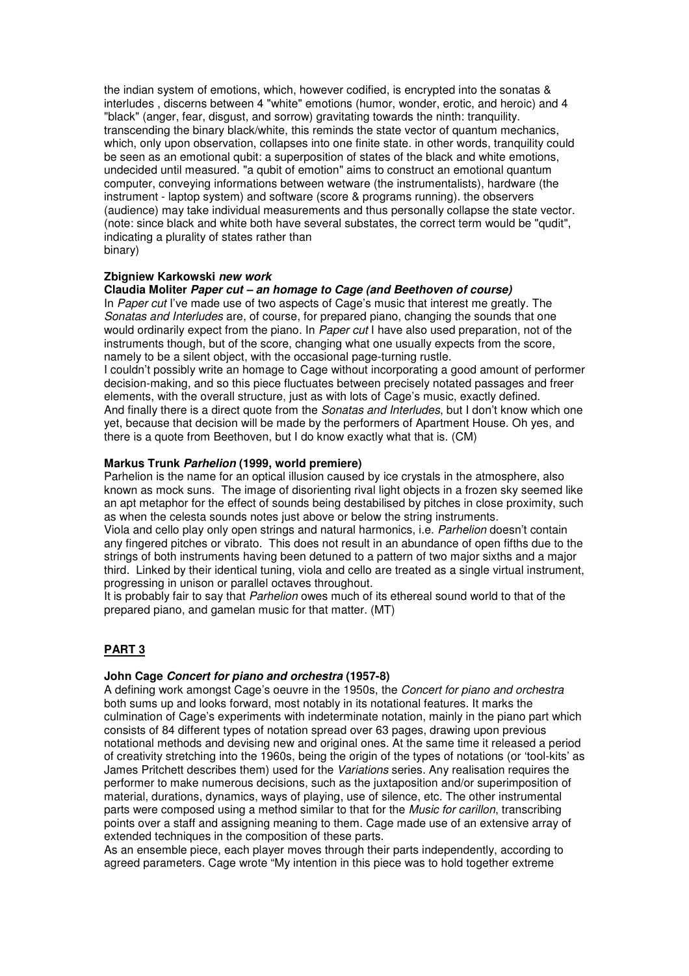the indian system of emotions, which, however codified, is encrypted into the sonatas & interludes , discerns between 4 "white" emotions (humor, wonder, erotic, and heroic) and 4 "black" (anger, fear, disgust, and sorrow) gravitating towards the ninth: tranquility. transcending the binary black/white, this reminds the state vector of quantum mechanics, which, only upon observation, collapses into one finite state. in other words, tranquility could be seen as an emotional qubit: a superposition of states of the black and white emotions, undecided until measured. "a qubit of emotion" aims to construct an emotional quantum computer, conveying informations between wetware (the instrumentalists), hardware (the instrument - laptop system) and software (score & programs running). the observers (audience) may take individual measurements and thus personally collapse the state vector. (note: since black and white both have several substates, the correct term would be "qudit", indicating a plurality of states rather than binary)

### **Zbigniew Karkowski new work**

#### **Claudia Moliter Paper cut – an homage to Cage (and Beethoven of course)**

In Paper cut I've made use of two aspects of Cage's music that interest me greatly. The Sonatas and Interludes are, of course, for prepared piano, changing the sounds that one would ordinarily expect from the piano. In Paper cut I have also used preparation, not of the instruments though, but of the score, changing what one usually expects from the score, namely to be a silent object, with the occasional page-turning rustle.

I couldn't possibly write an homage to Cage without incorporating a good amount of performer decision-making, and so this piece fluctuates between precisely notated passages and freer elements, with the overall structure, just as with lots of Cage's music, exactly defined. And finally there is a direct quote from the *Sonatas and Interludes*, but I don't know which one yet, because that decision will be made by the performers of Apartment House. Oh yes, and there is a quote from Beethoven, but I do know exactly what that is. (CM)

### **Markus Trunk Parhelion (1999, world premiere)**

Parhelion is the name for an optical illusion caused by ice crystals in the atmosphere, also known as mock suns. The image of disorienting rival light objects in a frozen sky seemed like an apt metaphor for the effect of sounds being destabilised by pitches in close proximity, such as when the celesta sounds notes just above or below the string instruments.

Viola and cello play only open strings and natural harmonics, i.e. Parhelion doesn't contain any fingered pitches or vibrato. This does not result in an abundance of open fifths due to the strings of both instruments having been detuned to a pattern of two major sixths and a major third. Linked by their identical tuning, viola and cello are treated as a single virtual instrument, progressing in unison or parallel octaves throughout.

It is probably fair to say that Parhelion owes much of its ethereal sound world to that of the prepared piano, and gamelan music for that matter. (MT)

## **PART 3**

#### **John Cage Concert for piano and orchestra (1957-8)**

A defining work amongst Cage's oeuvre in the 1950s, the Concert for piano and orchestra both sums up and looks forward, most notably in its notational features. It marks the culmination of Cage's experiments with indeterminate notation, mainly in the piano part which consists of 84 different types of notation spread over 63 pages, drawing upon previous notational methods and devising new and original ones. At the same time it released a period of creativity stretching into the 1960s, being the origin of the types of notations (or 'tool-kits' as James Pritchett describes them) used for the Variations series. Any realisation requires the performer to make numerous decisions, such as the juxtaposition and/or superimposition of material, durations, dynamics, ways of playing, use of silence, etc. The other instrumental parts were composed using a method similar to that for the *Music for carillon*, transcribing points over a staff and assigning meaning to them. Cage made use of an extensive array of extended techniques in the composition of these parts.

As an ensemble piece, each player moves through their parts independently, according to agreed parameters. Cage wrote "My intention in this piece was to hold together extreme